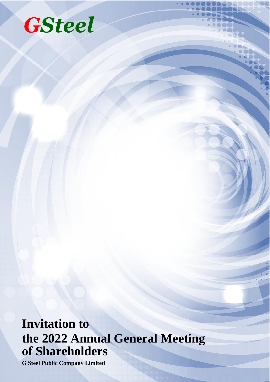# **GSteel**

## **Invitation to the 2022 Annual General Meeting of Shareholders**

**G Steel Public Company Limited**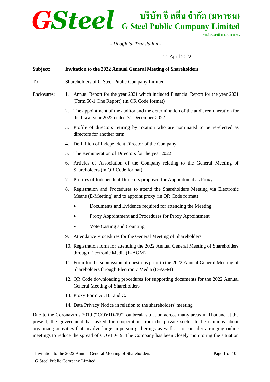### **บริษัท จี สตีล จ ำกัด (มหำชน) G Steel Public Company Limited**

**ทะเบียนเลขที่0107538000746**

*- Unofficial Translation -*

21 April 2022

### **Subject: Invitation to the 2022 Annual General Meeting of Shareholders** To: Shareholders of G Steel Public Company Limited Enclosures: 1. Annual Report for the year 2021 which included Financial Report for the year 2021 (Form 56-1 One Report) (in QR Code format) 2. The appointment of the auditor and the determination of the audit remuneration for the fiscal year 2022 ended 31 December 2022 3. Profile of directors retiring by rotation who are nominated to be re-elected as directors for another term 4. Definition of Independent Director of the Company 5. The Remuneration of Directors for the year 2022 6. Articles of Association of the Company relating to the General Meeting of Shareholders (in QR Code format) 7. Profiles of Independent Directors proposed for Appointment as Proxy 8. Registration and Procedures to attend the Shareholders Meeting via Electronic Means (E-Meeting) and to appoint proxy (in QR Code format) • Documents and Evidence required for attending the Meeting • Proxy Appointment and Procedures for Proxy Appointment • Vote Casting and Counting 9. Attendance Procedures for the General Meeting of Shareholders 10. Registration form for attending the 2022 Annual General Meeting of Shareholders through Electronic Media (E-AGM) 11. Form for the submission of questions prior to the 2022 Annual General Meeting of Shareholders through Electronic Media (E-AGM) 12. QR Code downloading procedures for supporting documents for the 2022 Annual General Meeting of Shareholders 13. Proxy Form A., B., and C. 14. Data Privacy Notice in relation to the shareholders' meeting

Due to the Coronavirus 2019 ("**COVID-19**") outbreak situation across many areas in Thailand at the present, the government has asked for cooperation from the private sector to be cautious about organizing activities that involve large in-person gatherings as well as to consider arranging online meetings to reduce the spread of COVID-19. The Company has been closely monitoring the situation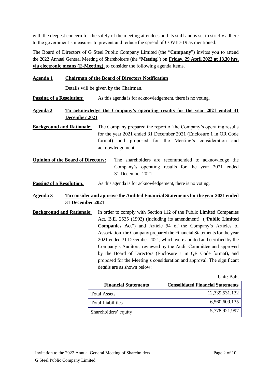with the deepest concern for the safety of the meeting attendees and its staff and is set to strictly adhere to the government's measures to prevent and reduce the spread of COVID-19 as mentioned.

The Board of Directors of G Steel Public Company Limited (the "**Company**") invites you to attend the 2022 Annual General Meeting of Shareholders (the "**Meeting**") on **Friday, 29 April 2022 at 13.30 hrs. via electronic means (E-Meeting),** to consider the following agenda items.

#### **Agenda 1 Chairman of the Board of Directors Notification**

Details will be given by the Chairman.

**Passing of a Resolution:** As this agenda is for acknowledgement, there is no voting.

#### **Agenda 2 To acknowledge the Company's operating results for the year 2021 ended 31 December 2021**

**Background and Rationale:** The Company prepared the report of the Company's operating results for the year 2021 ended 31 December 2021 (Enclosure 1 in QR Code format) and proposed for the Meeting's consideration and acknowledgement.

- **Opinion of the Board of Directors:** The shareholders are recommended to acknowledge the Company's operating results for the year 2021 ended 31 December 2021.
- **Passing of a Resolution:** As this agenda is for acknowledgement, there is no voting.

#### **Agenda 3 To consider and approve the Audited Financial Statements for the year 2021 ended 31 December 2021**

**Background and Rationale:** In order to comply with Section 112 of the Public Limited Companies Act, B.E. 2535 (1992) (including its amendment) ("**Public Limited Companies Act**") and Article 54 of the Company's Articles of Association, the Company prepared the Financial Statements for the year 2021 ended 31 December 2021, which were audited and certified by the Company's Auditors, reviewed by the Audit Committee and approved by the Board of Directors (Enclosure 1 in QR Code format), and proposed for the Meeting's consideration and approval. The significant details are as shown below:

Unit: Baht

| <b>Financial Statements</b> | <b>Consolidated Financial Statements</b> |
|-----------------------------|------------------------------------------|
| <b>Total Assets</b>         | 12,339,531,132                           |
| <b>Total Liabilities</b>    | 6,560,609,135                            |
| Shareholders' equity        | 5,778,921,997                            |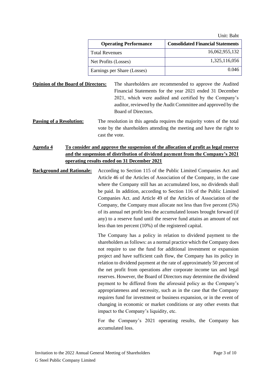|                              | UM. Dan                                  |
|------------------------------|------------------------------------------|
| <b>Operating Performance</b> | <b>Consolidated Financial Statements</b> |
| <b>Total Revenues</b>        | 16,062,955,132                           |
| Net Profits (Losses)         | 1,325,116,056                            |
| Earnings per Share (Losses)  | 0.046                                    |

**Opinion of the Board of Directors:** The shareholders are recommended to approve the Audited Financial Statements for the year 2021 ended 31 December 2021, which were audited and certified by the Company's auditor, reviewed by the Audit Committee and approved by the Board of Directors.

**Passing of a Resolution:** The resolution in this agenda requires the majority votes of the total vote by the shareholders attending the meeting and have the right to cast the vote.

#### **Agenda 4 To consider and approve the suspension of the allocation of profit as legal reserve and the suspension of distribution of dividend payment from the Company's 2021 operating results ended on 31 December 2021**

**Background and Rationale:** According to Section 115 of the Public Limited Companies Act and Article 46 of the Articles of Association of the Company, in the case where the Company still has an accumulated loss, no dividends shall be paid. In addition, according to Section 116 of the Public Limited Companies Act. and Article 49 of the Articles of Association of the Company, the Company must allocate not less than five percent (5%) of its annual net profit less the accumulated losses brought forward (if any) to a reserve fund until the reserve fund attains an amount of not less than ten percent (10%) of the registered capital.

> The Company has a policy in relation to dividend payment to the shareholders as follows: as a normal practice which the Company does not require to use the fund for additional investment or expansion project and have sufficient cash flow, the Company has its policy in relation to dividend payment at the rate of approximately 50 percent of the net profit from operations after corporate income tax and legal reserves. However, the Board of Directors may determine the dividend payment to be differed from the aforesaid policy as the Company's appropriateness and necessity, such as in the case that the Company requires fund for investment or business expansion, or in the event of changing in economic or market conditions or any other events that impact to the Company's liquidity, etc.

> For the Company's 2021 operating results, the Company has accumulated loss.

Unit: Baht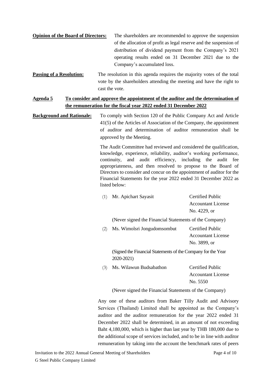| <b>Opinion of the Board of Directors:</b> | The shareholders are recommended to approve the suspension         |  |
|-------------------------------------------|--------------------------------------------------------------------|--|
|                                           | of the allocation of profit as legal reserve and the suspension of |  |
|                                           | distribution of dividend payment from the Company's 2021           |  |
|                                           | operating results ended on 31 December 2021 due to the             |  |
|                                           | Company's accumulated loss.                                        |  |

**Passing of a Resolution:** The resolution in this agenda requires the majority votes of the total vote by the shareholders attending the meeting and have the right to cast the vote.

#### **Agenda 5 To consider and approve the appointment of the auditor and the determination of the remuneration for the fiscal year 2022 ended 31 December 2022**

**Background and Rationale:** To comply with Section 120 of the Public Company Act and Article 41(5) of the Articles of Association of the Company, the appointment of auditor and determination of auditor remuneration shall be approved by the Meeting.

> The Audit Committee had reviewed and considered the qualification, knowledge, experience, reliability, auditor's working performance, continuity, and audit efficiency, including the audit fee appropriateness, and then resolved to propose to the Board of Directors to consider and concur on the appointment of auditor for the Financial Statements for the year 2022 ended 31 December 2022 as listed below:

| (1) | Mr. Apichart Sayasit                                                        | Certified Public          |  |
|-----|-----------------------------------------------------------------------------|---------------------------|--|
|     |                                                                             | Accountant License        |  |
|     |                                                                             | No. 4229, or              |  |
|     | (Never signed the Financial Statements of the Company)                      |                           |  |
| (2) | Ms. Wimolsri Jongudomsombut                                                 | Certified Public          |  |
|     |                                                                             | Accountant License        |  |
|     |                                                                             | No. 3899, or              |  |
|     | (Signed the Financial Statements of the Company for the Year)<br>2020-2021) |                           |  |
| (3) | Ms. Wilawun Budsabathon                                                     | Certified Public          |  |
|     |                                                                             | <b>Accountant License</b> |  |

No. 5550

(Never signed the Financial Statements of the Company)

Any one of these auditors from Baker Tilly Audit and Advisory Services (Thailand) Limited shall be appointed as the Company's auditor and the auditor remuneration for the year 2022 ended 31 December 2022 shall be determined, in an amount of not exceeding Baht 4,180,000, which is higher than last year by THB 180,000 due to the additional scope of services included, and to be in line with auditor remuneration by taking into the account the benchmark rates of peers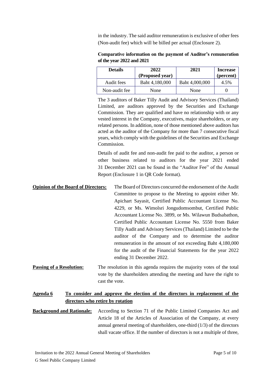in the industry. The said auditor remuneration is exclusive of other fees (Non-audit fee) which will be billed per actual (Enclosure 2).

| $U$ and $V$ and $2022$ and $2021$ |                 |                |                 |
|-----------------------------------|-----------------|----------------|-----------------|
| <b>Details</b>                    | 2022            | 2021           | <b>Increase</b> |
|                                   | (Proposed year) |                | (percent)       |
| Audit fees                        | Baht 4,180,000  | Baht 4,000,000 | 4.5%            |

Non-audit fee None None 1 0

**Comparative information on the payment of Auditor's remuneration of the year 2022 and 2021**

The 3 auditors of Baker Tilly Audit and Advisory Services (Thailand) Limited, are auditors approved by the Securities and Exchange Commission. They are qualified and have no relationship with or any vested interest in the Company, executives, major shareholders, or any related persons. In addition, none of those mentioned above auditors has acted as the auditor of the Company for more than 7 consecutive fiscal years, which comply with the guidelines of the Securities and Exchange Commission.

Details of audit fee and non-audit fee paid to the auditor, a person or other business related to auditors for the year 2021 ended 31 December 2021 can be found in the "Auditor Fee" of the Annual Report (Enclosure 1 in QR Code format).

**Opinion of the Board of Directors:** The Board of Directors concurred the endorsement of the Audit Committee to propose to the Meeting to appoint either Mr. Apichart Sayasit, Certified Public Accountant License No. 4229, or Ms. Wimolsri Jongudomsombut, Certified Public Accountant License No. 3899, or Ms. Wilawun Budsabathon, Certified Public Accountant License No. 5550 from Baker Tilly Audit and Advisory Services (Thailand) Limited to be the auditor of the Company and to determine the auditor remuneration in the amount of not exceeding Baht 4,180,000 for the audit of the Financial Statements for the year 2022 ending 31 December 2022.

**Passing of a Resolution:** The resolution in this agenda requires the majority votes of the total vote by the shareholders attending the meeting and have the right to cast the vote.

#### **Agenda 6 To consider and approve the election of the directors in replacement of the directors who retire by rotation**

**Background and Rationale:** According to Section 71 of the Public Limited Companies Act and Article 18 of the Articles of Association of the Company, at every annual general meeting of shareholders, one-third (1/3) of the directors shall vacate office. If the number of directors is not a multiple of three,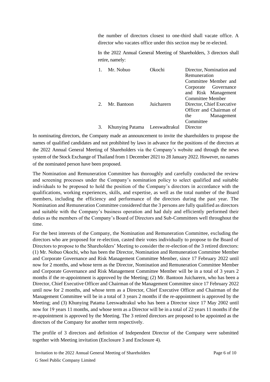the number of directors closest to one-third shall vacate office. A director who vacates office under this section may be re-elected.

In the 2022 Annual General Meeting of Shareholders, 3 directors shall retire, namely:

| Mr. Nobuo                     | Okochi     | Director, Nomination and<br>Remuneration |  |
|-------------------------------|------------|------------------------------------------|--|
|                               |            | Committee Member and                     |  |
|                               |            | Corporate Governance                     |  |
|                               |            | and Risk Management                      |  |
|                               |            | Committee Member                         |  |
| Mr. Bantoon                   | Juicharern | Director, Chief Executive                |  |
|                               |            | Officer and Chairman of                  |  |
|                               |            | Management<br>the                        |  |
|                               |            | Committee                                |  |
| Khunying Patama Leeswadtrakul |            | Director                                 |  |

In nominating directors, the Company made an announcement to invite the shareholders to propose the names of qualified candidates and not prohibited by laws in advance for the positions of the directors at the 2022 Annual General Meeting of Shareholders via the Company's website and through the news system of the Stock Exchange of Thailand from 1 December 2021 to 28 January 2022. However, no names of the nominated person have been proposed.

The Nomination and Remuneration Committee has thoroughly and carefully conducted the review and screening processes under the Company's nomination policy to select qualified and suitable individuals to be proposed to hold the position of the Company's directors in accordance with the qualifications, working experiences, skills, and expertise, as well as the total number of the Board members, including the efficiency and performance of the directors during the past year. The Nomination and Remuneration Committee considered that the 3 persons are fully qualified as directors and suitable with the Company's business operation and had duly and efficiently performed their duties as the members of the Company's Board of Directors and Sub-Committees well throughout the time.

For the best interests of the Company, the Nomination and Remuneration Committee, excluding the directors who are proposed for re-election, casted their votes individually to propose to the Board of Directors to propose to the Shareholders' Meeting to consider the re-election of the 3 retired directors: (1) Mr. Nobuo Okochi, who has been the Director, Nomination and Remuneration Committee Member and Corporate Governance and Risk Management Committee Member, since 17 February 2022 until now for 2 months, and whose term as the Director, Nomination and Remuneration Committee Member and Corporate Governance and Risk Management Committee Member will be in a total of 3 years 2 months if the re-appointment is approved by the Meeting; (2) Mr. Bantoon Juicharern, who has been a Director, Chief Executive Officer and Chairman of the Management Committee since 17 February 2022 until now for 2 months, and whose term as a Director, Chief Executive Officer and Chairman of the Management Committee will be in a total of 3 years 2 months if the re-appointment is approved by the Meeting; and (3) Khunying Patama Leeswadtrakul who has been a Director since 17 May 2002 until now for 19 years 11 months, and whose term as a Director will be in a total of 22 years 11 months if the re-appointment is approved by the Meeting. The 3 retired directors are proposed to be appointed as the directors of the Company for another term respectively.

The profile of 3 directors and definition of Independent Director of the Company were submitted together with Meeting invitation (Enclosure 3 and Enclosure 4).

Invitation to the 2022 Annual General Meeting of Shareholders G Steel Public Company Limited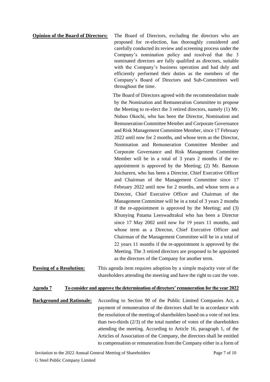**Opinion of the Board of Directors:** The Board of Directors, excluding the directors who are proposed for re-election, has thoroughly considered and carefully conducted its review and screening process under the Company's nomination policy and resolved that the 3 nominated directors are fully qualified as directors, suitable with the Company's business operation and had duly and efficiently performed their duties as the members of the Company's Board of Directors and Sub-Committees well throughout the time.

The Board of Directors agreed with the recommendation made by the Nomination and Remuneration Committee to propose the Meeting to re-elect the 3 retired directors, namely (1) Mr. Nobuo Okochi, who has been the Director, Nomination and Remuneration Committee Member and Corporate Governance and Risk Management Committee Member, since 17 February 2022 until now for 2 months, and whose term as the Director, Nomination and Remuneration Committee Member and Corporate Governance and Risk Management Committee Member will be in a total of 3 years 2 months if the reappointment is approved by the Meeting; (2) Mr. Bantoon Juicharern, who has been a Director, Chief Executive Officer and Chairman of the Management Committee since 17 February 2022 until now for 2 months, and whose term as a Director, Chief Executive Officer and Chairman of the Management Committee will be in a total of 3 years 2 months if the re-appointment is approved by the Meeting; and (3) Khunying Patama Leeswadtrakul who has been a Director since  $17$  May  $2002$  until now for  $19$  years  $11$  months, and whose term as a Director, Chief Executive Officer and Chairman of the Management Committee will be in a total of 22 years 11 months if the re-appointment is approved by the Meeting. The 3 retired directors are proposed to be appointed as the directors of the Company for another term.

**Passing of a Resolution:** This agenda item requires adoption by a simple majority vote of the shareholders attending the meeting and have the right to cast the vote.

#### **Agenda 7 To consider and approve the determination of directors' remuneration for the year 2022**

**Background and Rationale:** According to Section 90 of the Public Limited Companies Act, a payment of remuneration of the directors shall be in accordance with the resolution of the meeting of shareholders based on a vote of not less than two-thirds (2/3) of the total number of votes of the shareholders attending the meeting. According to Article 16, paragraph 1, of the Articles of Association of the Company, the directors shall be entitled to compensation or remuneration from the Company either in a form of

Invitation to the 2022 Annual General Meeting of Shareholders G Steel Public Company Limited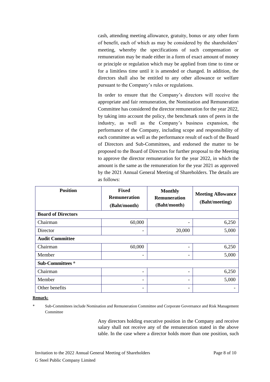cash, attending meeting allowance, gratuity, bonus or any other form of benefit, each of which as may be considered by the shareholders' meeting, whereby the specifications of such compensation or remuneration may be made either in a form of exact amount of money or principle or regulation which may be applied from time to time or for a limitless time until it is amended or changed. In addition, the directors shall also be entitled to any other allowance or welfare pursuant to the Company's rules or regulations.

In order to ensure that the Company's directors will receive the appropriate and fair remuneration, the Nomination and Remuneration Committee has considered the director remuneration for the year 2022, by taking into account the policy, the benchmark rates of peers in the industry, as well as the Company's business expansion, the performance of the Company, including scope and responsibility of each committee as well as the performance result of each of the Board of Directors and Sub-Committees, and endorsed the matter to be proposed to the Board of Directors for further proposal to the Meeting to approve the director remuneration for the year 2022, in which the amount is the same as the remuneration for the year 2021 as approved by the 2021 Annual General Meeting of Shareholders. The details are as follows:

| <b>Position</b>           | <b>Fixed</b><br><b>Remuneration</b><br>(Baht/month) | <b>Monthly</b><br><b>Remuneration</b><br>(Baht/month) | <b>Meeting Allowance</b><br>(Baht/meeting) |
|---------------------------|-----------------------------------------------------|-------------------------------------------------------|--------------------------------------------|
| <b>Board of Directors</b> |                                                     |                                                       |                                            |
| Chairman                  | 60,000                                              | $\overline{\phantom{0}}$                              | 6,250                                      |
| Director                  | -                                                   | 20,000                                                | 5,000                                      |
| <b>Audit Committee</b>    |                                                     |                                                       |                                            |
| Chairman                  | 60,000                                              | $\overline{\phantom{a}}$                              | 6,250                                      |
| Member                    | -                                                   | $\overline{\phantom{a}}$                              | 5,000                                      |
| Sub-Committees*           |                                                     |                                                       |                                            |
| Chairman                  | -                                                   | $\overline{\phantom{a}}$                              | 6,250                                      |
| Member                    | -                                                   | $\overline{\phantom{a}}$                              | 5,000                                      |
| Other benefits            | -                                                   | -                                                     |                                            |

#### **Remark:**

Sub-Committees include Nomination and Remuneration Committee and Corporate Governance and Risk Management Committee

> Any directors holding executive position in the Company and receive salary shall not receive any of the remuneration stated in the above table. In the case where a director holds more than one position, such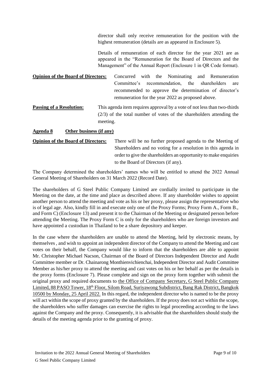director shall only receive remuneration for the position with the highest remuneration (details are as appeared in Enclosure 5).

Details of remuneration of each director for the year 2021 are as appeared in the "Remuneration for the Board of Directors and the Management" of the Annual Report (Enclosure 1 in QR Code format).

**Opinion of the Board of Directors:** Concurred with the Nominating and Remuneration Committee's recommendation, the shareholders are recommended to approve the determination of director's remuneration for the year 2022 as proposed above.

**Passing of a Resolution:** This agenda item requires approval by a vote of not less than two-thirds (2/3) of the total number of votes of the shareholders attending the meeting.

#### **Agenda 8 Other business (if any)**

**Opinion of the Board of Directors:** There will be no further proposed agenda to the Meeting of Shareholders and no voting for a resolution in this agenda in order to give the shareholders an opportunity to make enquiries to the Board of Directors (if any).

The Company determined the shareholders' names who will be entitled to attend the 2022 Annual General Meeting of Shareholders on 31 March 2022 (Record Date).

The shareholders of G Steel Public Company Limited are cordially invited to participate in the Meeting on the date, at the time and place as described above. If any shareholder wishes to appoint another person to attend the meeting and vote as his or her proxy, please assign the representative who is of legal age. Also, kindly fill in and execute only one of the Proxy Forms; Proxy Form A., Form B., and Form C) (Enclosure 13) and present it to the Chairman of the Meeting or designated person before attending the Meeting. The Proxy Form C is only for the shareholders who are foreign investors and have appointed a custodian in Thailand to be a share depository and keeper.

In the case where the shareholders are unable to attend the Meeting, held by electronic means, by themselves, and wish to appoint an independent director of the Company to attend the Meeting and cast votes on their behalf, the Company would like to inform that the shareholders are able to appoint Mr. Christopher Michael Nacson, Chairman of the Board of Directors Independent Director and Audit Committee member or Dr. Chainarong Monthienvichienchai, Independent Director and Audit Committee Member as his/her proxy to attend the meeting and cast votes on his or her behalf as per the details in the proxy forms (Enclosure 7). Please complete and sign on the proxy form together with submit the original proxy and required documents to the Office of Company Secretary, G Steel Public Company Limited, 88 PASO Tower, 18<sup>th</sup> Floor, Silom Road, Suriyawong Subdistrict, Bang Rak District, Bangkok 10500 by Monday, 25 April 2022. In this regard, the independent director who is named to be the proxy will act within the scope of proxy granted by the shareholders. If the proxy does not act within the scope, the shareholders who suffer damages can exercise the rights to legal proceeding according to the laws against the Company and the proxy. Consequently, it is advisable that the shareholders should study the details of the meeting agenda prior to the granting of proxy.